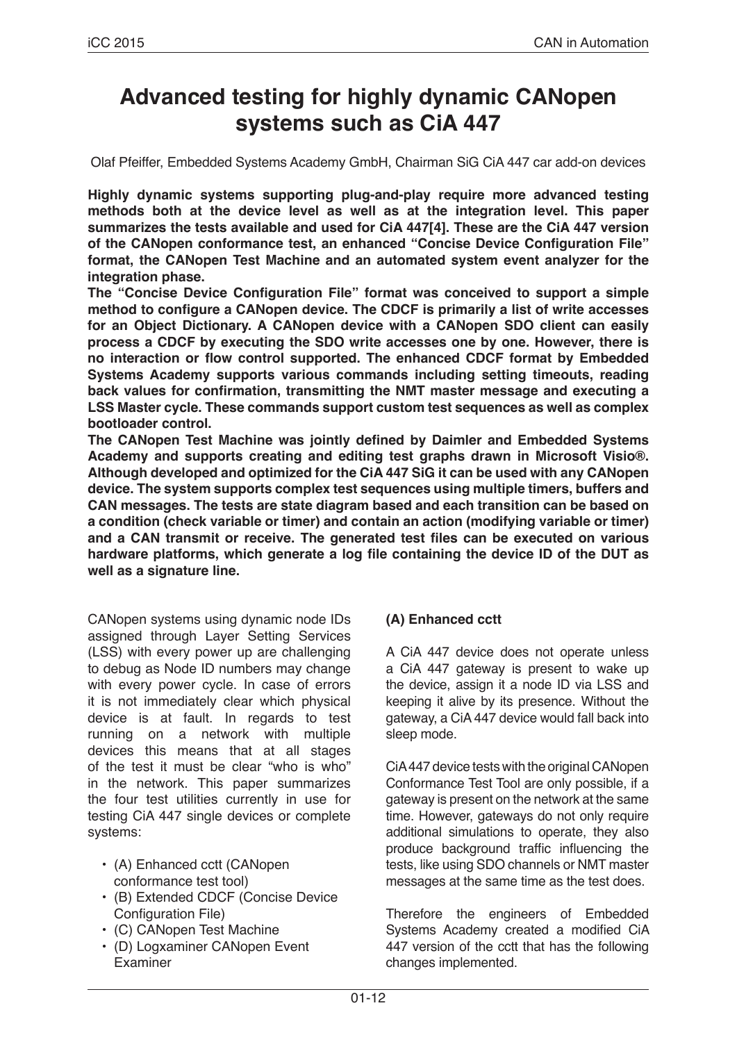# **Advanced testing for highly dynamic CANopen systems such as CiA 447**

Olaf Pfeiffer, Embedded Systems Academy GmbH, Chairman SiG CiA 447 car add-on devices

**Highly dynamic systems supporting plug-and-play require more advanced testing methods both at the device level as well as at the integration level. This paper summarizes the tests available and used for CiA 447[4]. These are the CiA 447 version of the CANopen conformance test, an enhanced "Concise Device Configuration File" format, the CANopen Test Machine and an automated system event analyzer for the integration phase.**

**The "Concise Device Configuration File" format was conceived to support a simple method to configure a CANopen device. The CDCF is primarily a list of write accesses for an Object Dictionary. A CANopen device with a CANopen SDO client can easily process a CDCF by executing the SDO write accesses one by one. However, there is no interaction or flow control supported. The enhanced CDCF format by Embedded Systems Academy supports various commands including setting timeouts, reading back values for confirmation, transmitting the NMT master message and executing a LSS Master cycle. These commands support custom test sequences as well as complex bootloader control.**

**The CANopen Test Machine was jointly defined by Daimler and Embedded Systems Academy and supports creating and editing test graphs drawn in Microsoft Visio®. Although developed and optimized for the CiA 447 SiG it can be used with any CANopen device. The system supports complex test sequences using multiple timers, buffers and CAN messages. The tests are state diagram based and each transition can be based on a condition (check variable or timer) and contain an action (modifying variable or timer) and a CAN transmit or receive. The generated test files can be executed on various hardware platforms, which generate a log file containing the device ID of the DUT as well as a signature line.**

CANopen systems using dynamic node IDs assigned through Layer Setting Services (LSS) with every power up are challenging to debug as Node ID numbers may change with every power cycle. In case of errors it is not immediately clear which physical device is at fault. In regards to test running on a network with multiple devices this means that at all stages of the test it must be clear "who is who" in the network. This paper summarizes the four test utilities currently in use for testing CiA 447 single devices or complete systems:

- (A) Enhanced cctt (CANopen conformance test tool)
- (B) Extended CDCF (Concise Device Configuration File)
- (C) CANopen Test Machine
- (D) Logxaminer CANopen Event Examiner

## **(A) Enhanced cctt**

A CiA 447 device does not operate unless a CiA 447 gateway is present to wake up the device, assign it a node ID via LSS and keeping it alive by its presence. Without the gateway, a CiA 447 device would fall back into sleep mode.

CiA 447 device tests with the original CANopen Conformance Test Tool are only possible, if a gateway is present on the network at the same time. However, gateways do not only require additional simulations to operate, they also produce background traffic influencing the tests, like using SDO channels or NMT master messages at the same time as the test does.

Therefore the engineers of Embedded Systems Academy created a modified CiA 447 version of the cctt that has the following changes implemented.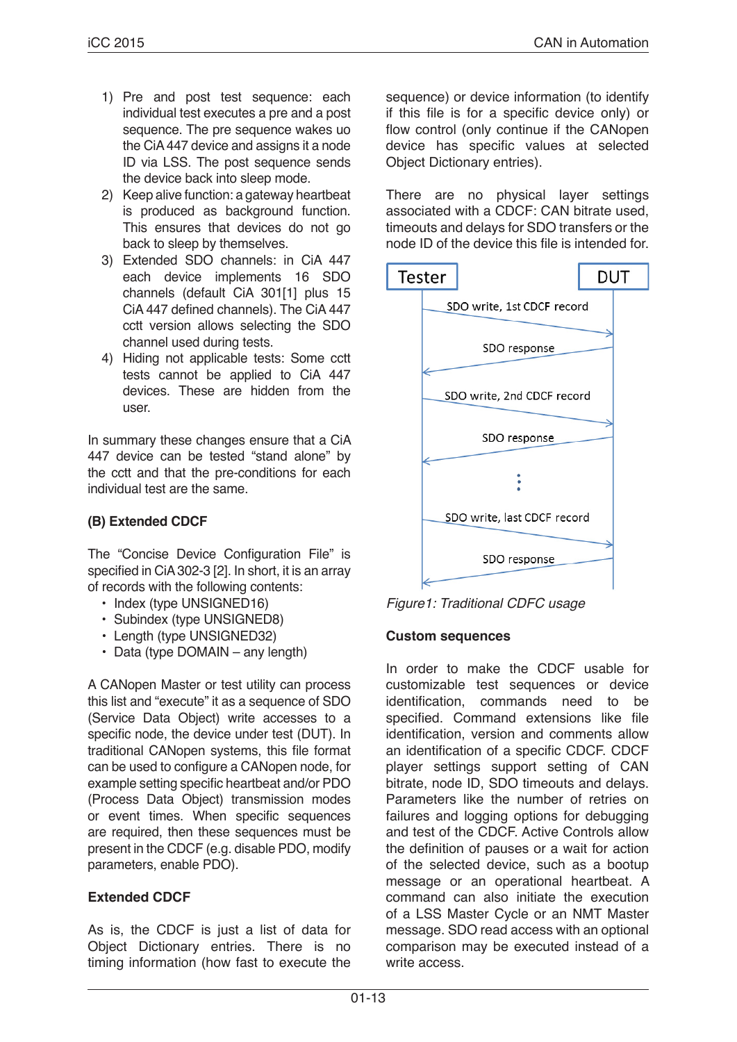- 1) Pre and post test sequence: each individual test executes a pre and a post sequence. The pre sequence wakes uo the CiA 447 device and assigns it a node ID via LSS. The post sequence sends the device back into sleep mode.
- 2) Keep alive function: a gateway heartbeat is produced as background function. This ensures that devices do not go back to sleep by themselves.
- 3) Extended SDO channels: in CiA 447 each device implements 16 SDO channels (default CiA 301[1] plus 15 CiA 447 defined channels). The CiA 447 cctt version allows selecting the SDO channel used during tests.
- 4) Hiding not applicable tests: Some cctt tests cannot be applied to CiA 447 devices. These are hidden from the user.

In summary these changes ensure that a CiA 447 device can be tested "stand alone" by the cctt and that the pre-conditions for each individual test are the same.

## **(B) Extended CDCF**

The "Concise Device Configuration File" is specified in CiA 302-3 [2]. In short, it is an array of records with the following contents:

- Index (type UNSIGNED16)
- Subindex (type UNSIGNED8)
- Length (type UNSIGNED32)
- Data (type DOMAIN any length)

A CANopen Master or test utility can process this list and "execute" it as a sequence of SDO (Service Data Object) write accesses to a specific node, the device under test (DUT). In traditional CANopen systems, this file format can be used to configure a CANopen node, for example setting specific heartbeat and/or PDO (Process Data Object) transmission modes or event times. When specific sequences are required, then these sequences must be present in the CDCF (e.g. disable PDO, modify parameters, enable PDO).

## **Extended CDCF**

As is, the CDCF is just a list of data for Object Dictionary entries. There is no timing information (how fast to execute the sequence) or device information (to identify if this file is for a specific device only) or flow control (only continue if the CANopen device has specific values at selected Object Dictionary entries).

There are no physical layer settings associated with a CDCF: CAN bitrate used, timeouts and delays for SDO transfers or the node ID of the device this file is intended for.



*Figure1: Traditional CDFC usage*

### **Custom sequences**

In order to make the CDCF usable for customizable test sequences or device identification, commands need to be specified. Command extensions like file identification, version and comments allow an identification of a specific CDCF. CDCF player settings support setting of CAN bitrate, node ID, SDO timeouts and delays. Parameters like the number of retries on failures and logging options for debugging and test of the CDCF. Active Controls allow the definition of pauses or a wait for action of the selected device, such as a bootup message or an operational heartbeat. A command can also initiate the execution of a LSS Master Cycle or an NMT Master message. SDO read access with an optional comparison may be executed instead of a write access.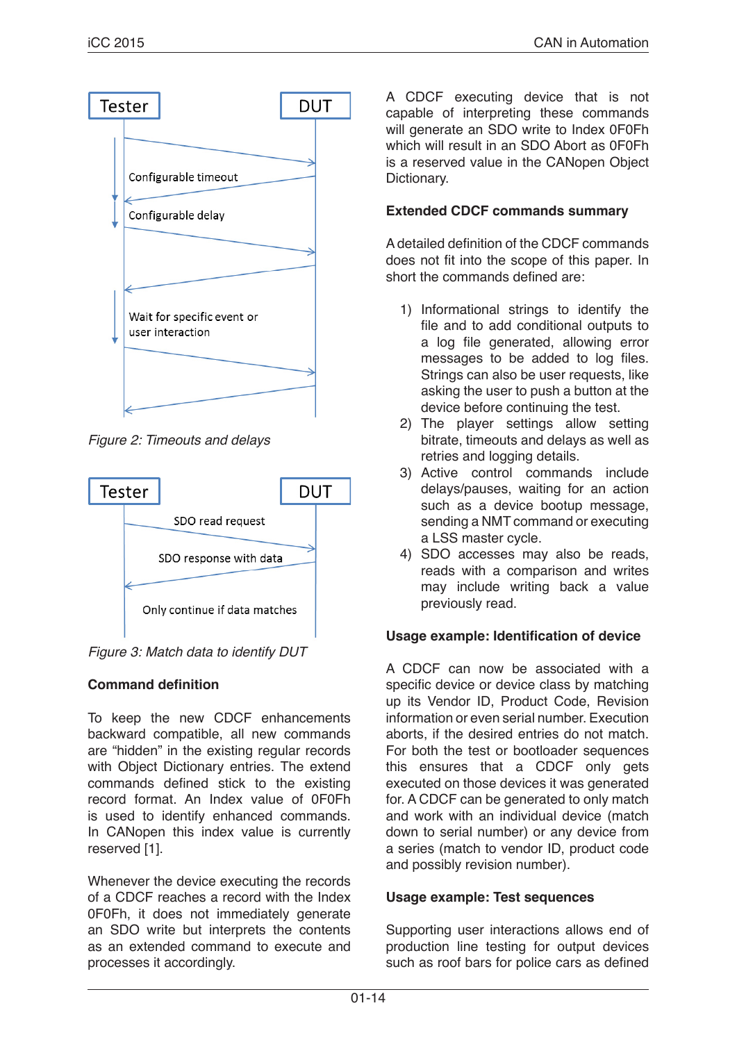

*Figure 2: Timeouts and delays*



*Figure 3: Match data to identify DUT*

# **Command definition**

To keep the new CDCF enhancements backward compatible, all new commands are "hidden" in the existing regular records with Object Dictionary entries. The extend commands defined stick to the existing record format. An Index value of 0F0Fh is used to identify enhanced commands. In CANopen this index value is currently reserved [1].

Whenever the device executing the records of a CDCF reaches a record with the Index 0F0Fh, it does not immediately generate an SDO write but interprets the contents as an extended command to execute and processes it accordingly.

A CDCF executing device that is not capable of interpreting these commands will generate an SDO write to Index 0F0Fh which will result in an SDO Abort as 0F0Fh is a reserved value in the CANopen Object Dictionary.

## **Extended CDCF commands summary**

A detailed definition of the CDCF commands does not fit into the scope of this paper. In short the commands defined are:

- 1) Informational strings to identify the file and to add conditional outputs to a log file generated, allowing error messages to be added to log files. Strings can also be user requests, like asking the user to push a button at the device before continuing the test.
- 2) The player settings allow setting bitrate, timeouts and delays as well as retries and logging details.
- 3) Active control commands include delays/pauses, waiting for an action such as a device bootup message, sending a NMT command or executing a LSS master cycle.
- 4) SDO accesses may also be reads, reads with a comparison and writes may include writing back a value previously read.

## **Usage example: Identification of device**

A CDCF can now be associated with a specific device or device class by matching up its Vendor ID, Product Code, Revision information or even serial number. Execution aborts, if the desired entries do not match. For both the test or bootloader sequences this ensures that a CDCF only gets executed on those devices it was generated for. A CDCF can be generated to only match and work with an individual device (match down to serial number) or any device from a series (match to vendor ID, product code and possibly revision number).

## **Usage example: Test sequences**

Supporting user interactions allows end of production line testing for output devices such as roof bars for police cars as defined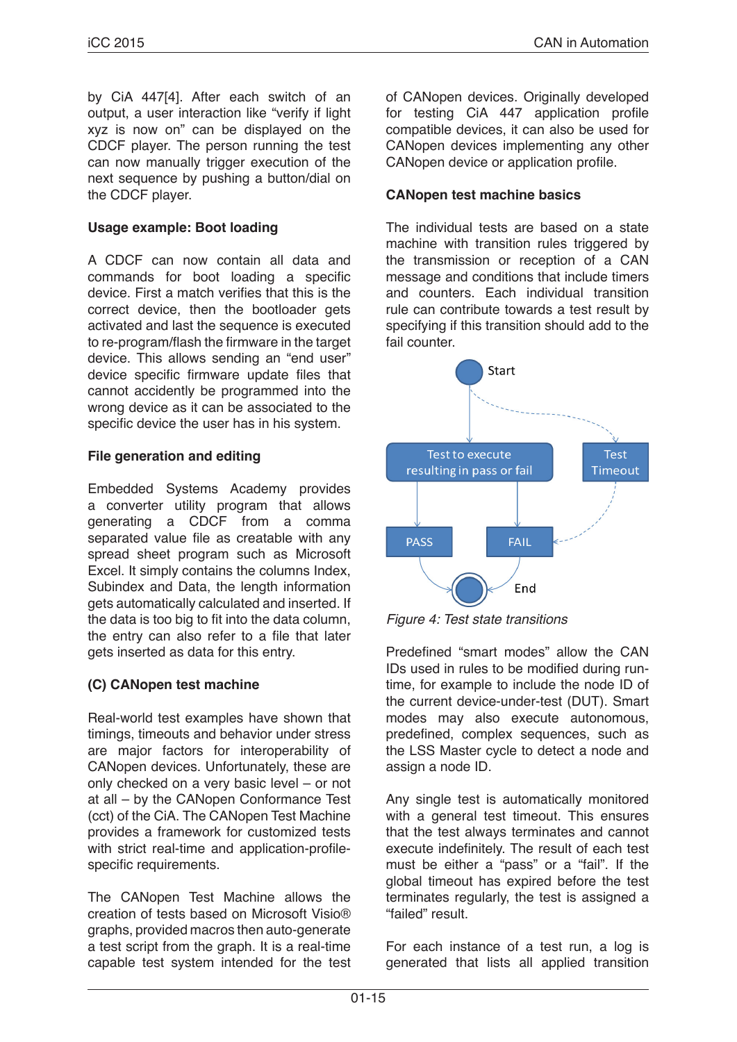by CiA 447[4]. After each switch of an output, a user interaction like "verify if light xyz is now on" can be displayed on the CDCF player. The person running the test can now manually trigger execution of the next sequence by pushing a button/dial on the CDCF player.

### **Usage example: Boot loading**

A CDCF can now contain all data and commands for boot loading a specific device. First a match verifies that this is the correct device, then the bootloader gets activated and last the sequence is executed to re-program/flash the firmware in the target device. This allows sending an "end user" device specific firmware update files that cannot accidently be programmed into the wrong device as it can be associated to the specific device the user has in his system.

#### **File generation and editing**

Embedded Systems Academy provides a converter utility program that allows generating a CDCF from a comma separated value file as creatable with any spread sheet program such as Microsoft Excel. It simply contains the columns Index, Subindex and Data, the length information gets automatically calculated and inserted. If the data is too big to fit into the data column, the entry can also refer to a file that later gets inserted as data for this entry.

### **(C) CANopen test machine**

Real-world test examples have shown that timings, timeouts and behavior under stress are major factors for interoperability of CANopen devices. Unfortunately, these are only checked on a very basic level – or not at all – by the CANopen Conformance Test (cct) of the CiA. The CANopen Test Machine provides a framework for customized tests with strict real-time and application-profilespecific requirements.

The CANopen Test Machine allows the creation of tests based on Microsoft Visio® graphs, provided macros then auto-generate a test script from the graph. It is a real-time capable test system intended for the test of CANopen devices. Originally developed for testing CiA 447 application profile compatible devices, it can also be used for CANopen devices implementing any other CANopen device or application profile.

#### **CANopen test machine basics**

The individual tests are based on a state machine with transition rules triggered by the transmission or reception of a CAN message and conditions that include timers and counters. Each individual transition rule can contribute towards a test result by specifying if this transition should add to the fail counter.





Predefined "smart modes" allow the CAN IDs used in rules to be modified during runtime, for example to include the node ID of the current device-under-test (DUT). Smart modes may also execute autonomous, predefined, complex sequences, such as the LSS Master cycle to detect a node and assign a node ID.

Any single test is automatically monitored with a general test timeout. This ensures that the test always terminates and cannot execute indefinitely. The result of each test must be either a "pass" or a "fail". If the global timeout has expired before the test terminates regularly, the test is assigned a "failed" result.

For each instance of a test run, a log is generated that lists all applied transition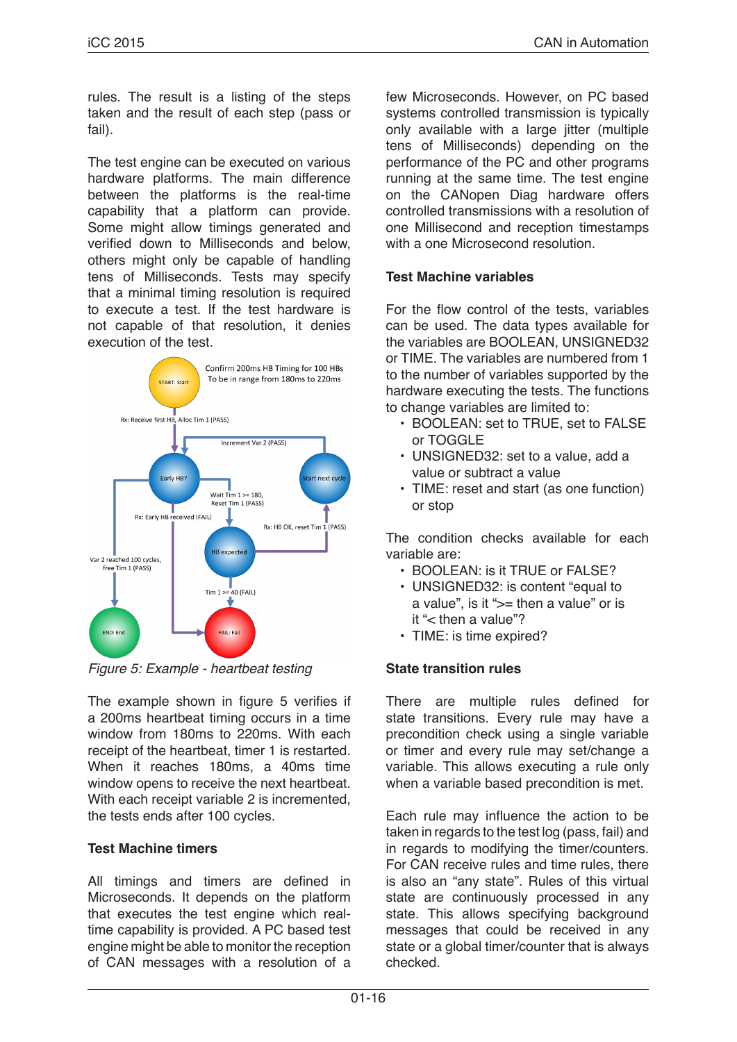rules. The result is a listing of the steps taken and the result of each step (pass or fail).

The test engine can be executed on various hardware platforms. The main difference between the platforms is the real-time capability that a platform can provide. Some might allow timings generated and verified down to Milliseconds and below, others might only be capable of handling tens of Milliseconds. Tests may specify that a minimal timing resolution is required to execute a test. If the test hardware is not capable of that resolution, it denies execution of the test.



*Figure 5: Example - heartbeat testing*

The example shown in figure 5 verifies if a 200ms heartbeat timing occurs in a time window from 180ms to 220ms. With each receipt of the heartbeat, timer 1 is restarted. When it reaches 180ms, a 40ms time window opens to receive the next heartbeat. With each receipt variable 2 is incremented, the tests ends after 100 cycles.

## **Test Machine timers**

All timings and timers are defined in Microseconds. It depends on the platform that executes the test engine which realtime capability is provided. A PC based test engine might be able to monitor the reception of CAN messages with a resolution of a few Microseconds. However, on PC based systems controlled transmission is typically only available with a large jitter (multiple tens of Milliseconds) depending on the performance of the PC and other programs running at the same time. The test engine on the CANopen Diag hardware offers controlled transmissions with a resolution of one Millisecond and reception timestamps with a one Microsecond resolution.

## **Test Machine variables**

For the flow control of the tests, variables can be used. The data types available for the variables are BOOLEAN, UNSIGNED32 or TIME. The variables are numbered from 1 to the number of variables supported by the hardware executing the tests. The functions to change variables are limited to:

- BOOLEAN: set to TRUE, set to FALSE or TOGGLE
- UNSIGNED32: set to a value, add a value or subtract a value
- TIME: reset and start (as one function) or stop

The condition checks available for each variable are:

- BOOLEAN: is it TRUE or FALSE?
- UNSIGNED32: is content "equal to a value", is it ">= then a value" or is it "< then a value"?
- TIME: is time expired?

## **State transition rules**

There are multiple rules defined for state transitions. Every rule may have a precondition check using a single variable or timer and every rule may set/change a variable. This allows executing a rule only when a variable based precondition is met.

Each rule may influence the action to be taken in regards to the test log (pass, fail) and in regards to modifying the timer/counters. For CAN receive rules and time rules, there is also an "any state". Rules of this virtual state are continuously processed in any state. This allows specifying background messages that could be received in any state or a global timer/counter that is always checked.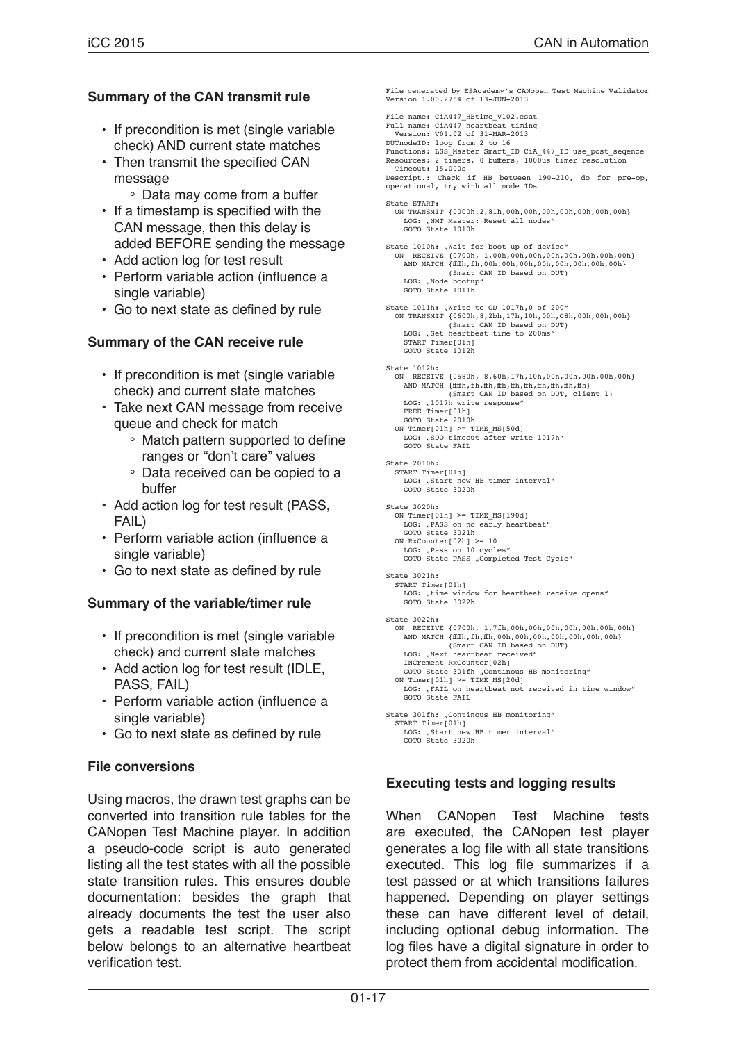#### **Summary of the CAN transmit rule**

- If precondition is met (single variable check) AND current state matches
- Then transmit the specified CAN message
	- ° Data may come from a buffer
- If a timestamp is specified with the CAN message, then this delay is added BEFORE sending the message
- Add action log for test result
- Perform variable action (influence a single variable)
- Go to next state as defined by rule

#### **Summary of the CAN receive rule**

- If precondition is met (single variable check) and current state matches
- Take next CAN message from receive queue and check for match
	- ° Match pattern supported to define ranges or "don't care" values
	- ° Data received can be copied to a buffer
- Add action log for test result (PASS, FAIL)
- Perform variable action (influence a single variable)
- Go to next state as defined by rule

#### **Summary of the variable/timer rule**

- If precondition is met (single variable check) and current state matches
- Add action log for test result (IDLE, PASS, FAIL)
- Perform variable action (influence a single variable)
- Go to next state as defined by rule

#### **File conversions**

Using macros, the drawn test graphs can be converted into transition rule tables for the CANopen Test Machine player. In addition a pseudo-code script is auto generated listing all the test states with all the possible state transition rules. This ensures double documentation: besides the graph that already documents the test the user also gets a readable test script. The script below belongs to an alternative heartbeat verification test.

File generated by ESAcademy's CANopen Test Machine Validator Version 1.00.2754 of 13-JUN-2013 File name: CiA447\_HBtime\_V102.esat Full name: CiA447 heartbeat timing Version: V01.02 of 31-MAR-2013 DUTnodeID: loop from 2 to 16 Functions: LSS\_Master Smart\_ID CiA\_447\_ID use\_post\_seqence Resources: 2 timers, 0 buffers, 1000us timer resolution Timeout: 15.000s Descript.: Check if HB between 190-210, do for pre-op, operational, try with all node IDs State START: ON TRANSMIT {0000h,2,81h,00h,00h,00h,00h,00h,00h,00h} LOG: "NMT Master: Reset all nodes"<br>GOTO State 1010h State 1010h: "Wait for boot up of device" ON RECEIVE {0700h, 1,00h,00h,00h,00h,00h,00h,00h,00h} AND MATCH {ffffh,fh,00h,00h,00h,00h,00h,00h,00h,00h} (Smart CAN ID based on DUT) LOG: "Node bootup" GOTO State 1011h State 1011h: "Write to OD 1017h,0 of 200"<br>ON TRANSMIT {0600h,8,2bh,17h,10h,00h,C8h,00h,00h,00h} (Smart CAN ID based on DUT) LOG: "Set heartbeat time to 200ms START Timer[01h] GOTO State 1012h State 1012h: ON RECEIVE {0580h, 8,60h,17h,10h,00h,00h,00h,00h,00h} AND MATCH {ffffh,fh,ffh,ffh,ffh,ffh,ffh,ffh,ffh,ffh} (Smart CAN ID based on DUT, client 1)  $LOG: 1017h$  write response" FREE Timer[01h] GOTO State 2010h ON Timer $[01h]$  >= TIME MS $[50d]$  LOG: "SDO timeout after write 1017h" GOTO State FAIL State 2010h: START Timer[01h] LOG: "Start new HB timer interval"<br>GOTO State 3020h State 3020h: ON Timer $[01h]$  >= TIME MS $[190d]$  LOG: "PASS on no early heartbeat" GOTO State 3021h ON  $RxCounter[02h] \geq 10$  LOG: "Pass on 10 cycles" GOTO State PASS "Completed Test Cycle" State 3021h: START Timer[01h] LOG: "time window for heartbeat receive opens" GOTO State 3022h State 3022h: ON RECEIVE {0700h, 1,7fh,00h,00h,00h,00h,00h,00h,00h} AND MATCH {ffffh,fh,ffh,00h,00h,00h,00h,00h,00h,00h} (Smart CAN ID based on DUT) LOG: "Next heartbeat received" INCrement RxCounter[02h] GOTO State 301fh "Continous HB monitoring" ON Timer[01h] >= TIME\_MS[20d] LOG: "FAIL on heartbeat not received in time window" GOTO State FAIL State 301fh: "Continous HB monitoring" START Timer[01h] LOG: "Start new HB timer interval"<br>GOTO State 3020h

#### **Executing tests and logging results**

When CANopen Test Machine tests are executed, the CANopen test player generates a log file with all state transitions executed. This log file summarizes if a test passed or at which transitions failures happened. Depending on player settings these can have different level of detail, including optional debug information. The log files have a digital signature in order to protect them from accidental modification.